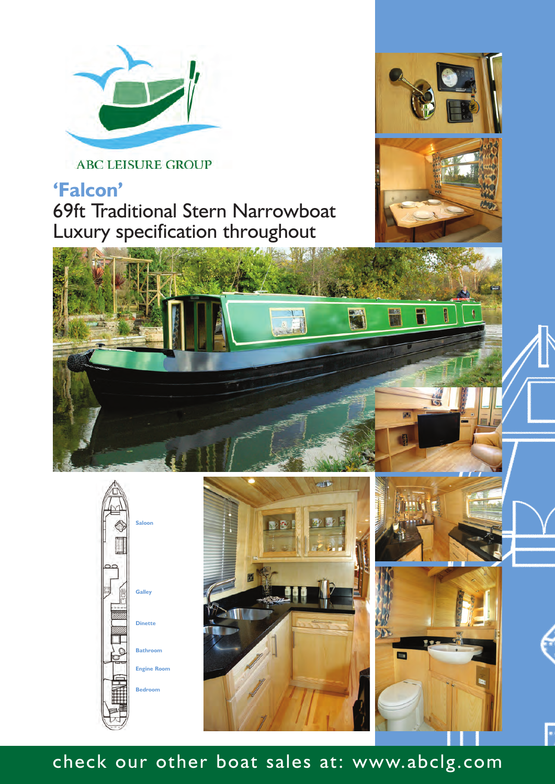

**ABC LEISURE GROUP** 

## **'Falcon'** 69ft Traditional Stern Narrowboat Luxury specification throughout